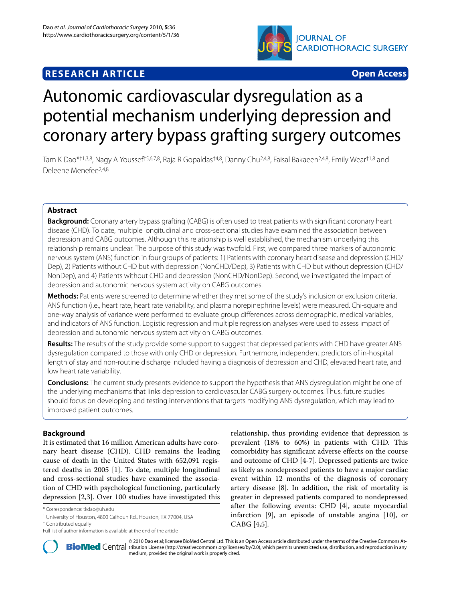

## **RESEARCH ARTICLE Open Access**

# Autonomic cardiovascular dysregulation as a potential mechanism underlying depression and coronary artery bypass grafting surgery outcomes

Tam K Dao\*<sup>†1,3,8</sup>, Nagy A Youssef<sup>†5,6,7,8</sup>, Raja R Gopaldas<sup>†4,8</sup>, Danny Chu<sup>2,4,8</sup>, Faisal Bakaeen<sup>2,4,8</sup>, Emily Wear<sup>†1,8</sup> and Deleene Menefee2,4,8

### **Abstract**

**Background:** Coronary artery bypass grafting (CABG) is often used to treat patients with significant coronary heart disease (CHD). To date, multiple longitudinal and cross-sectional studies have examined the association between depression and CABG outcomes. Although this relationship is well established, the mechanism underlying this relationship remains unclear. The purpose of this study was twofold. First, we compared three markers of autonomic nervous system (ANS) function in four groups of patients: 1) Patients with coronary heart disease and depression (CHD/ Dep), 2) Patients without CHD but with depression (NonCHD/Dep), 3) Patients with CHD but without depression (CHD/ NonDep), and 4) Patients without CHD and depression (NonCHD/NonDep). Second, we investigated the impact of depression and autonomic nervous system activity on CABG outcomes.

**Methods:** Patients were screened to determine whether they met some of the study's inclusion or exclusion criteria. ANS function (i.e., heart rate, heart rate variability, and plasma norepinephrine levels) were measured. Chi-square and one-way analysis of variance were performed to evaluate group differences across demographic, medical variables, and indicators of ANS function. Logistic regression and multiple regression analyses were used to assess impact of depression and autonomic nervous system activity on CABG outcomes.

**Results:** The results of the study provide some support to suggest that depressed patients with CHD have greater ANS dysregulation compared to those with only CHD or depression. Furthermore, independent predictors of in-hospital length of stay and non-routine discharge included having a diagnosis of depression and CHD, elevated heart rate, and low heart rate variability.

**Conclusions:** The current study presents evidence to support the hypothesis that ANS dysregulation might be one of the underlying mechanisms that links depression to cardiovascular CABG surgery outcomes. Thus, future studies should focus on developing and testing interventions that targets modifying ANS dysregulation, which may lead to improved patient outcomes.

#### **Background**

It is estimated that 16 million American adults have coronary heart disease (CHD). CHD remains the leading cause of death in the United States with 652,091 registered deaths in 2005 [[1\]](#page-7-0). To date, multiple longitudinal and cross-sectional studies have examined the association of CHD with psychological functioning, particularly depression [\[2](#page-7-1)[,3](#page-7-2)]. Over 100 studies have investigated this

relationship, thus providing evidence that depression is prevalent (18% to 60%) in patients with CHD. This comorbidity has significant adverse effects on the course and outcome of CHD [\[4](#page-7-3)-[7\]](#page-7-4). Depressed patients are twice as likely as nondepressed patients to have a major cardiac event within 12 months of the diagnosis of coronary artery disease [[8\]](#page-7-5). In addition, the risk of mortality is greater in depressed patients compared to nondepressed after the following events: CHD [[4](#page-7-3)], acute myocardial infarction [\[9](#page-7-6)], an episode of unstable angina [\[10](#page-7-7)], or CABG [[4,](#page-7-3)[5\]](#page-7-8).



© 2010 Dao et al; licensee [BioMed](http://www.biomedcentral.com/) Central Ltd. This is an Open Access article distributed under the terms of the Creative Commons At-<br>Bio Med Central tribution License (http://creativecommons.org/licenses/by/2.0), which p medium, provided the original work is properly cited.

<sup>\*</sup> Correspondence: tkdao@uh.edu

<sup>1</sup> University of Houston, 4800 Calhoun Rd., Houston, TX 77004, USA

<sup>†</sup> Contributed equally

Full list of author information is available at the end of the article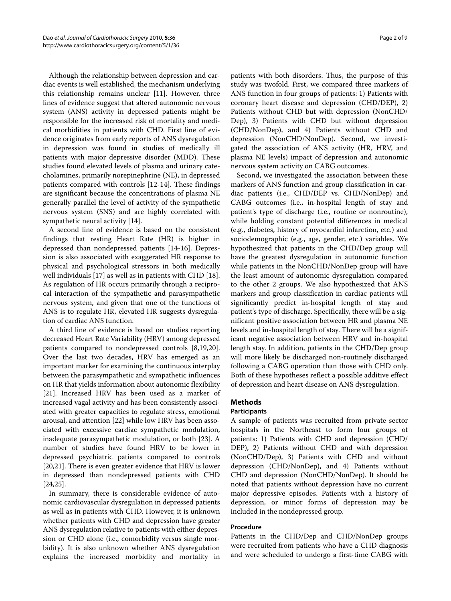Although the relationship between depression and cardiac events is well established, the mechanism underlying this relationship remains unclear [[11\]](#page-7-9). However, three lines of evidence suggest that altered autonomic nervous system (ANS) activity in depressed patients might be responsible for the increased risk of mortality and medical morbidities in patients with CHD. First line of evidence originates from early reports of ANS dysregulation in depression was found in studies of medically ill patients with major depressive disorder (MDD). These studies found elevated levels of plasma and urinary catecholamines, primarily norepinephrine (NE), in depressed patients compared with controls [[12-](#page-7-10)[14](#page-7-11)]. These findings are significant because the concentrations of plasma NE generally parallel the level of activity of the sympathetic nervous system (SNS) and are highly correlated with sympathetic neural activity [\[14](#page-7-11)].

A second line of evidence is based on the consistent findings that resting Heart Rate (HR) is higher in depressed than nondepressed patients [[14](#page-7-11)[-16](#page-7-12)]. Depression is also associated with exaggerated HR response to physical and psychological stressors in both medically well individuals [[17\]](#page-7-13) as well as in patients with CHD [\[18](#page-7-14)]. As regulation of HR occurs primarily through a reciprocal interaction of the sympathetic and parasympathetic nervous system, and given that one of the functions of ANS is to regulate HR, elevated HR suggests dysregulation of cardiac ANS function.

A third line of evidence is based on studies reporting decreased Heart Rate Variability (HRV) among depressed patients compared to nondepressed controls [[8](#page-7-5)[,19](#page-7-15)[,20](#page-7-16)]. Over the last two decades, HRV has emerged as an important marker for examining the continuous interplay between the parasympathetic and sympathetic influences on HR that yields information about autonomic flexibility [[21\]](#page-7-17). Increased HRV has been used as a marker of increased vagal activity and has been consistently associated with greater capacities to regulate stress, emotional arousal, and attention [\[22](#page-7-18)] while low HRV has been associated with excessive cardiac sympathetic modulation, inadequate parasympathetic modulation, or both [\[23](#page-7-19)]. A number of studies have found HRV to be lower in depressed psychiatric patients compared to controls [[20,](#page-7-16)[21\]](#page-7-17). There is even greater evidence that HRV is lower in depressed than nondepressed patients with CHD [[24,](#page-7-20)[25\]](#page-7-21).

In summary, there is considerable evidence of autonomic cardiovascular dysregulation in depressed patients as well as in patients with CHD. However, it is unknown whether patients with CHD and depression have greater ANS dysregulation relative to patients with either depression or CHD alone (i.e., comorbidity versus single morbidity). It is also unknown whether ANS dysregulation explains the increased morbidity and mortality in

patients with both disorders. Thus, the purpose of this study was twofold. First, we compared three markers of ANS function in four groups of patients: 1) Patients with coronary heart disease and depression (CHD/DEP), 2) Patients without CHD but with depression (NonCHD/ Dep), 3) Patients with CHD but without depression (CHD/NonDep), and 4) Patients without CHD and depression (NonCHD/NonDep). Second, we investigated the association of ANS activity (HR, HRV, and plasma NE levels) impact of depression and autonomic nervous system activity on CABG outcomes.

Second, we investigated the association between these markers of ANS function and group classification in cardiac patients (i.e., CHD/DEP vs. CHD/NonDep) and CABG outcomes (i.e., in-hospital length of stay and patient's type of discharge (i.e., routine or nonroutine), while holding constant potential differences in medical (e.g., diabetes, history of myocardial infarction, etc.) and sociodemographic (e.g., age, gender, etc.) variables. We hypothesized that patients in the CHD/Dep group will have the greatest dysregulation in autonomic function while patients in the NonCHD/NonDep group will have the least amount of autonomic dysregulation compared to the other 2 groups. We also hypothesized that ANS markers and group classification in cardiac patients will significantly predict in-hospital length of stay and patient's type of discharge. Specifically, there will be a significant positive association between HR and plasma NE levels and in-hospital length of stay. There will be a significant negative association between HRV and in-hospital length stay. In addition, patients in the CHD/Dep group will more likely be discharged non-routinely discharged following a CABG operation than those with CHD only. Both of these hypotheses reflect a possible additive effect of depression and heart disease on ANS dysregulation.

#### **Methods**

#### **Participants**

A sample of patients was recruited from private sector hospitals in the Northeast to form four groups of patients: 1) Patients with CHD and depression (CHD/ DEP), 2) Patients without CHD and with depression (NonCHD/Dep), 3) Patients with CHD and without depression (CHD/NonDep), and 4) Patients without CHD and depression (NonCHD/NonDep). It should be noted that patients without depression have no current major depressive episodes. Patients with a history of depression, or minor forms of depression may be included in the nondepressed group.

#### **Procedure**

Patients in the CHD/Dep and CHD/NonDep groups were recruited from patients who have a CHD diagnosis and were scheduled to undergo a first-time CABG with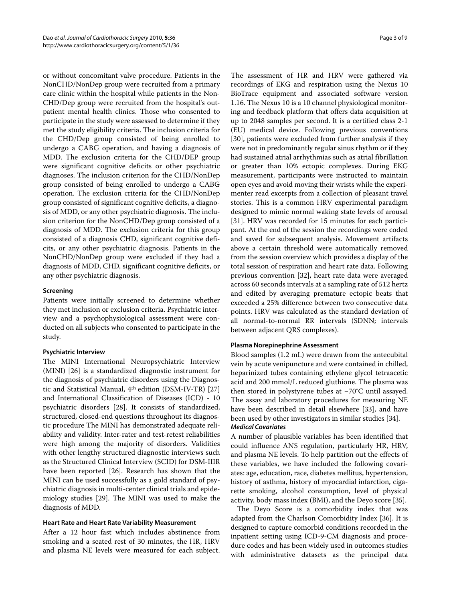or without concomitant valve procedure. Patients in the NonCHD/NonDep group were recruited from a primary care clinic within the hospital while patients in the Non-CHD/Dep group were recruited from the hospital's outpatient mental health clinics. Those who consented to participate in the study were assessed to determine if they met the study eligibility criteria. The inclusion criteria for the CHD/Dep group consisted of being enrolled to undergo a CABG operation, and having a diagnosis of MDD. The exclusion criteria for the CHD/DEP group were significant cognitive deficits or other psychiatric diagnoses. The inclusion criterion for the CHD/NonDep group consisted of being enrolled to undergo a CABG operation. The exclusion criteria for the CHD/NonDep group consisted of significant cognitive deficits, a diagnosis of MDD, or any other psychiatric diagnosis. The inclusion criterion for the NonCHD/Dep group consisted of a diagnosis of MDD. The exclusion criteria for this group consisted of a diagnosis CHD, significant cognitive deficits, or any other psychiatric diagnosis. Patients in the NonCHD/NonDep group were excluded if they had a diagnosis of MDD, CHD, significant cognitive deficits, or any other psychiatric diagnosis.

#### **Screening**

Patients were initially screened to determine whether they met inclusion or exclusion criteria. Psychiatric interview and a psychophysiological assessment were conducted on all subjects who consented to participate in the study.

#### **Psychiatric Interview**

The MINI International Neuropsychiatric Interview (MINI) [\[26\]](#page-7-22) is a standardized diagnostic instrument for the diagnosis of psychiatric disorders using the Diagnostic and Statistical Manual, 4th edition (DSM-IV-TR) [[27](#page-7-23)] and International Classification of Diseases (ICD) - 10 psychiatric disorders [[28\]](#page-7-24). It consists of standardized, structured, closed-end questions throughout its diagnostic procedure The MINI has demonstrated adequate reliability and validity. Inter-rater and test-retest reliabilities were high among the majority of disorders. Validities with other lengthy structured diagnostic interviews such as the Structured Clinical Interview (SCID) for DSM-IIIR have been reported [[26\]](#page-7-22). Research has shown that the MINI can be used successfully as a gold standard of psychiatric diagnosis in multi-center clinical trials and epidemiology studies [[29](#page-7-25)]. The MINI was used to make the diagnosis of MDD.

#### **Heart Rate and Heart Rate Variability Measurement**

After a 12 hour fast which includes abstinence from smoking and a seated rest of 30 minutes, the HR, HRV and plasma NE levels were measured for each subject.

The assessment of HR and HRV were gathered via recordings of EKG and respiration using the Nexus 10 BioTrace equipment and associated software version 1.16. The Nexus 10 is a 10 channel physiological monitoring and feedback platform that offers data acquisition at up to 2048 samples per second. It is a certified class 2-1 (EU) medical device. Following previous conventions [[30\]](#page-7-26), patients were excluded from further analysis if they were not in predominantly regular sinus rhythm or if they had sustained atrial arrhythmias such as atrial fibrillation or greater than 10% ectopic complexes. During EKG measurement, participants were instructed to maintain open eyes and avoid moving their wrists while the experimenter read excerpts from a collection of pleasant travel stories. This is a common HRV experimental paradigm designed to mimic normal waking state levels of arousal [[31\]](#page-7-27). HRV was recorded for 15 minutes for each participant. At the end of the session the recordings were coded and saved for subsequent analysis. Movement artifacts above a certain threshold were automatically removed from the session overview which provides a display of the total session of respiration and heart rate data. Following previous convention [[32\]](#page-7-28), heart rate data were averaged across 60 seconds intervals at a sampling rate of 512 hertz and edited by averaging premature ectopic beats that exceeded a 25% difference between two consecutive data points. HRV was calculated as the standard deviation of all normal-to-normal RR intervals (SDNN; intervals between adjacent QRS complexes).

#### **Plasma Norepinephrine Assessment**

Blood samples (1.2 mL) were drawn from the antecubital vein by acute venipuncture and were contained in chilled, heparinized tubes containing ethylene glycol tetraacetic acid and 200 mmol/L reduced gluthione. The plasma was then stored in polystyrene tubes at −70°C until assayed. The assay and laboratory procedures for measuring NE have been described in detail elsewhere [\[33](#page-7-29)], and have been used by other investigators in similar studies [\[34\]](#page-7-30). **Medical Covariates**

A number of plausible variables has been identified that could influence ANS regulation, particularly HR, HRV, and plasma NE levels. To help partition out the effects of these variables, we have included the following covariates: age, education, race, diabetes mellitus, hypertension, history of asthma, history of myocardial infarction, cigarette smoking, alcohol consumption, level of physical activity, body mass index (BMI), and the Deyo score [[35\]](#page-7-31).

The Deyo Score is a comorbidity index that was adapted from the Charlson Comorbidity Index [[36](#page-7-32)]. It is designed to capture comorbid conditions recorded in the inpatient setting using ICD-9-CM diagnosis and procedure codes and has been widely used in outcomes studies with administrative datasets as the principal data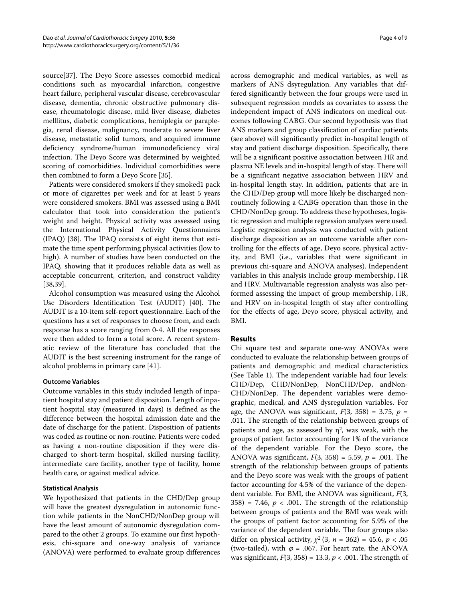source[[37\]](#page-7-33). The Deyo Score assesses comorbid medical conditions such as myocardial infarction, congestive heart failure, peripheral vascular disease, cerebrovascular disease, dementia, chronic obstructive pulmonary disease, rheumatologic disease, mild liver disease, diabetes melllitus, diabetic complications, hemiplegia or paraplegia, renal disease, malignancy, moderate to severe liver disease, metastatic solid tumors, and acquired immune deficiency syndrome/human immunodeficiency viral infection. The Deyo Score was determined by weighted scoring of comorbidities. Individual comorbidities were then combined to form a Deyo Score [[35](#page-7-31)].

Patients were considered smokers if they smoked1 pack or more of cigarettes per week and for at least 5 years were considered smokers. BMI was assessed using a BMI calculator that took into consideration the patient's weight and height. Physical activity was assessed using the International Physical Activity Questionnaires (IPAQ) [\[38](#page-7-34)]. The IPAQ consists of eight items that estimate the time spent performing physical activities (low to high). A number of studies have been conducted on the IPAQ, showing that it produces reliable data as well as acceptable concurrent, criterion, and construct validity [[38,](#page-7-34)[39\]](#page-8-0).

Alcohol consumption was measured using the Alcohol Use Disorders Identification Test (AUDIT) [\[40](#page-8-1)]. The AUDIT is a 10-item self-report questionnaire. Each of the questions has a set of responses to choose from, and each response has a score ranging from 0-4. All the responses were then added to form a total score. A recent systematic review of the literature has concluded that the AUDIT is the best screening instrument for the range of alcohol problems in primary care [\[41](#page-8-2)].

#### **Outcome Variables**

Outcome variables in this study included length of inpatient hospital stay and patient disposition. Length of inpatient hospital stay (measured in days) is defined as the difference between the hospital admission date and the date of discharge for the patient. Disposition of patients was coded as routine or non-routine. Patients were coded as having a non-routine disposition if they were discharged to short-term hospital, skilled nursing facility, intermediate care facility, another type of facility, home health care, or against medical advice.

#### **Statistical Analysis**

We hypothesized that patients in the CHD/Dep group will have the greatest dysregulation in autonomic function while patients in the NonCHD/NonDep group will have the least amount of autonomic dysregulation compared to the other 2 groups. To examine our first hypothesis, chi-square and one-way analysis of variance (ANOVA) were performed to evaluate group differences

across demographic and medical variables, as well as markers of ANS dsyregulation. Any variables that differed significantly between the four groups were used in subsequent regression models as covariates to assess the independent impact of ANS indicators on medical outcomes following CABG. Our second hypothesis was that ANS markers and group classification of cardiac patients (see above) will significantly predict in-hospital length of stay and patient discharge disposition. Specifically, there will be a significant positive association between HR and plasma NE levels and in-hospital length of stay. There will be a significant negative association between HRV and in-hospital length stay. In addition, patients that are in the CHD/Dep group will more likely be discharged nonroutinely following a CABG operation than those in the CHD/NonDep group. To address these hypotheses, logistic regression and multiple regression analyses were used. Logistic regression analysis was conducted with patient discharge disposition as an outcome variable after controlling for the effects of age, Deyo score, physical activity, and BMI (i.e., variables that were significant in previous chi-square and ANOVA analyses). Independent variables in this analysis include group membership, HR and HRV. Multivariable regression analysis was also performed assessing the impact of group membership, HR, and HRV on in-hospital length of stay after controlling for the effects of age, Deyo score, physical activity, and BMI.

#### **Results**

Chi square test and separate one-way ANOVAs were conducted to evaluate the relationship between groups of patients and demographic and medical characteristics (See Table 1). The independent variable had four levels: CHD/Dep, CHD/NonDep, NonCHD/Dep, andNon-CHD/NonDep. The dependent variables were demographic, medical, and ANS dysregulation variables. For age, the ANOVA was significant,  $F(3, 358) = 3.75$ ,  $p =$ .011. The strength of the relationship between groups of patients and age, as assessed by  $\eta^2$ , was weak, with the groups of patient factor accounting for 1% of the variance of the dependent variable. For the Deyo score, the ANOVA was significant, *F*(3, 358) = 5.59, *p* = .001. The strength of the relationship between groups of patients and the Deyo score was weak with the groups of patient factor accounting for 4.5% of the variance of the dependent variable. For BMI, the ANOVA was significant, *F*(3, 358) = 7.46,  $p < .001$ . The strength of the relationship between groups of patients and the BMI was weak with the groups of patient factor accounting for 5.9% of the variance of the dependent variable. The four groups also differ on physical activity,  $\chi^2$  (3,  $n = 362$ ) = 45.6,  $p < .05$ (two-tailed), with  $\varphi$  = .067. For heart rate, the ANOVA was significant, *F*(3, 358) = 13.3, *p* < .001. The strength of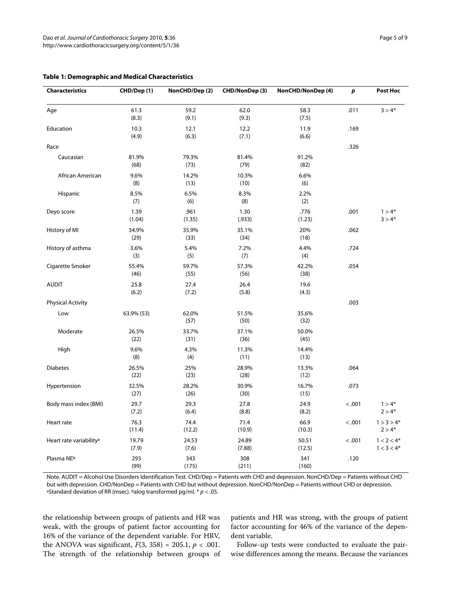| <b>Characteristics</b>              | CHD/Dep (1)    | NonCHD/Dep (2) | CHD/NonDep (3)                 | NonCHD/NonDep (4) | p      | Post Hoc                     |
|-------------------------------------|----------------|----------------|--------------------------------|-------------------|--------|------------------------------|
| Age                                 | 61.3<br>(8.3)  | 59.2<br>(9.1)  | 62.0<br>(9.3)                  | 58.3<br>(7.5)     | .011   | $3 > 4*$                     |
| Education                           | 10.3<br>(4.9)  | 12.1<br>(6.3)  | 12.2<br>11.9<br>(7.1)<br>(6.6) |                   | .169   |                              |
| Race                                |                |                |                                |                   | .326   |                              |
| Caucasian                           | 81.9%<br>(68)  | 79.3%<br>(73)  | 81.4%<br>(79)                  | 91.2%<br>(82)     |        |                              |
| African American                    | 9.6%<br>(8)    | 14.2%<br>(13)  | 10.3%<br>(10)                  | 6.6%<br>(6)       |        |                              |
| Hispanic                            | 8.5%<br>(7)    | 6.5%<br>(6)    | 8.3%<br>(8)                    | 2.2%<br>(2)       |        |                              |
| Deyo score                          | 1.39<br>(1.04) | .961<br>(1.35) | 1.30<br>(.933)                 | .776<br>(1.23)    | .001   | $1 > 4*$<br>$3 > 4*$         |
| History of MI                       | 34.9%<br>(29)  | 35.9%<br>(33)  | 35.1%<br>(34)                  | 20%<br>(18)       | .062   |                              |
| History of asthma                   | 3.6%<br>(3)    | 5.4%<br>(5)    | 7.2%<br>(7)                    | 4.4%<br>(4)       | .724   |                              |
| Cigarette Smoker                    | 55.4%<br>(46)  | 59.7%<br>(55)  | 57.3%<br>(56)                  | 42.2%<br>(38)     | .054   |                              |
| <b>AUDIT</b>                        | 25.8<br>(6.2)  | 27.4<br>(7.2)  | 26.4<br>(5.8)                  | 19.6<br>(4.3)     |        |                              |
| <b>Physical Activity</b>            |                |                |                                |                   | .003   |                              |
| Low                                 | 63.9% (53)     | 62.0%<br>(57)  | 51.5%<br>(50)                  | 35.6%<br>(32)     |        |                              |
| Moderate                            | 26.5%<br>(22)  | 33.7%<br>(31)  | 37.1%<br>(36)                  | 50.0%<br>(45)     |        |                              |
| High                                | 9.6%<br>(8)    | 4.3%<br>(4)    | 11.3%<br>(11)                  | 14.4%<br>(13)     |        |                              |
| <b>Diabetes</b>                     | 26.5%<br>(22)  | 25%<br>(23)    | 28.9%<br>(28)                  | 13.3%<br>(12)     | .064   |                              |
| Hypertension                        | 32.5%<br>(27)  | 28.2%<br>(26)  | 30.9%<br>(30)                  | 16.7%<br>(15)     | .073   |                              |
| Body mass index (BMI)               | 29.7<br>(7.2)  | 29.3<br>(6.4)  | 27.8<br>(8.8)                  | 24.9<br>(8.2)     | < .001 | $1 > 4*$<br>$2 > 4*$         |
| Heart rate                          | 76.3<br>(11.4) | 74.4<br>(12.2) | 71.4<br>(10.9)                 | 66.9<br>(10.3)    |        | $1 > 3 > 4*$<br>$2 > 4*$     |
| Heart rate variability <sup>a</sup> | 19.79<br>(7.9) | 24.53<br>(7.6) | 24.89<br>(7.88)                | 50.51<br>(12.5)   | < .001 | $1 < 2 < 4*$<br>$1 < 3 < 4*$ |
| Plasma NEb                          | 293<br>(99)    | 343<br>(175)   | 308<br>(211)                   | 341<br>(160)      | .120   |                              |

#### **Table 1: Demographic and Medical Characteristics**

Note. AUDIT = Alcohol Use Disorders Identification Test. CHD/Dep = Patients with CHD and depression. NonCHD/Dep = Patients without CHD but with depression. CHD/NonDep = Patients with CHD but without depression. NonCHD/NonDep = Patients without CHD or depression. aStandard deviation of RR (msec). balog transformed pg/ml.  $* p < .05$ .

the relationship between groups of patients and HR was weak, with the groups of patient factor accounting for 16% of the variance of the dependent variable. For HRV, the ANOVA was significant,  $F(3, 358) = 205.1, p < .001$ . The strength of the relationship between groups of patients and HR was strong, with the groups of patient factor accounting for 46% of the variance of the dependent variable.

Follow-up tests were conducted to evaluate the pairwise differences among the means. Because the variances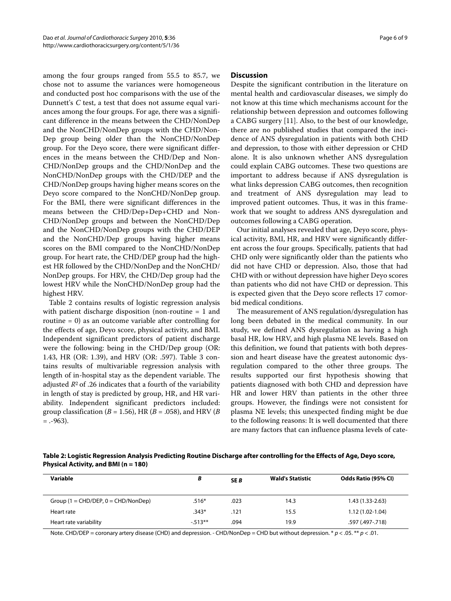among the four groups ranged from 55.5 to 85.7, we chose not to assume the variances were homogeneous and conducted post hoc comparisons with the use of the Dunnett's *C* test, a test that does not assume equal variances among the four groups. For age, there was a significant difference in the means between the CHD/NonDep and the NonCHD/NonDep groups with the CHD/Non-Dep group being older than the NonCHD/NonDep group. For the Deyo score, there were significant differences in the means between the CHD/Dep and Non-CHD/NonDep groups and the CHD/NonDep and the NonCHD/NonDep groups with the CHD/DEP and the CHD/NonDep groups having higher means scores on the Deyo score compared to the NonCHD/NonDep group. For the BMI, there were significant differences in the means between the CHD/Dep+Dep+CHD and Non-CHD/NonDep groups and between the NonCHD/Dep and the NonCHD/NonDep groups with the CHD/DEP and the NonCHD/Dep groups having higher means scores on the BMI compared to the NonCHD/NonDep group. For heart rate, the CHD/DEP group had the highest HR followed by the CHD/NonDep and the NonCHD/ NonDep groups. For HRV, the CHD/Dep group had the lowest HRV while the NonCHD/NonDep group had the highest HRV.

Table 2 contains results of logistic regression analysis with patient discharge disposition (non-routine = 1 and routine = 0) as an outcome variable after controlling for the effects of age, Deyo score, physical activity, and BMI. Independent significant predictors of patient discharge were the following: being in the CHD/Dep group (OR: 1.43, HR (OR: 1.39), and HRV (OR: .597). Table [3](#page-6-0) contains results of multivariable regression analysis with length of in-hospital stay as the dependent variable. The adjusted  $R^2$  of .26 indicates that a fourth of the variability in length of stay is predicted by group, HR, and HR variability. Independent significant predictors included: group classification (*B* = 1.56), HR (*B* = .058), and HRV (*B*  $=$  .-963).

#### **Discussion**

Despite the significant contribution in the literature on mental health and cardiovascular diseases, we simply do not know at this time which mechanisms account for the relationship between depression and outcomes following a CABG surgery [[11\]](#page-7-9). Also, to the best of our knowledge, there are no published studies that compared the incidence of ANS dysregulation in patients with both CHD and depression, to those with either depression or CHD alone. It is also unknown whether ANS dysregulation could explain CABG outcomes. These two questions are important to address because if ANS dysregulation is what links depression CABG outcomes, then recognition and treatment of ANS dysregulation may lead to improved patient outcomes. Thus, it was in this framework that we sought to address ANS dysregulation and outcomes following a CABG operation.

Our initial analyses revealed that age, Deyo score, physical activity, BMI, HR, and HRV were significantly different across the four groups. Specifically, patients that had CHD only were significantly older than the patients who did not have CHD or depression. Also, those that had CHD with or without depression have higher Deyo scores than patients who did not have CHD or depression. This is expected given that the Deyo score reflects 17 comorbid medical conditions.

The measurement of ANS regulation/dysregulation has long been debated in the medical community. In our study, we defined ANS dysregulation as having a high basal HR, low HRV, and high plasma NE levels. Based on this definition, we found that patients with both depression and heart disease have the greatest autonomic dysregulation compared to the other three groups. The results supported our first hypothesis showing that patients diagnosed with both CHD and depression have HR and lower HRV than patients in the other three groups. However, the findings were not consistent for plasma NE levels; this unexpected finding might be due to the following reasons: It is well documented that there are many factors that can influence plasma levels of cate-

**Table 2: Logistic Regression Analysis Predicting Routine Discharge after controlling for the Effects of Age, Deyo score, Physical Activity, and BMI (n = 180)**

| Variable                                                          | B        | SE <sub>B</sub> | <b>Wald's Statistic</b> | Odds Ratio (95% CI) |
|-------------------------------------------------------------------|----------|-----------------|-------------------------|---------------------|
| Group $(1 = \text{CHD}/\text{DEP}, 0 = \text{CHD}/\text{NonDep})$ | $.516*$  | .023            | 14.3                    | $1.43(1.33 - 2.63)$ |
| Heart rate                                                        | $.343*$  | .121            | 15.5                    | $1.12(1.02-1.04)$   |
| Heart rate variability                                            | $-513**$ | .094            | 19.9                    | .597 (.497 - .718)  |

Note. CHD/DEP = coronary artery disease (CHD) and depression. - CHD/NonDep = CHD but without depression. \* p < .05. \*\* p < .01.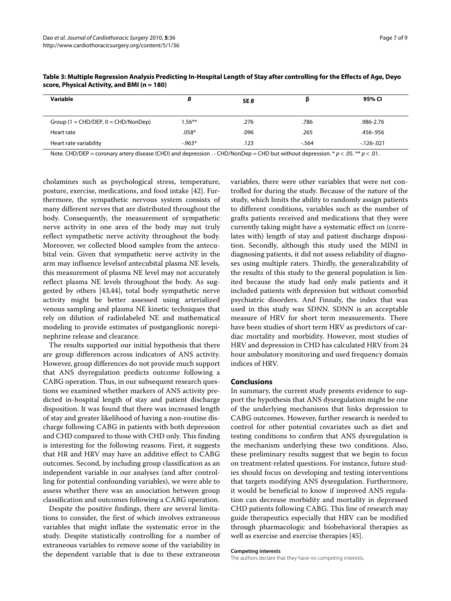| Variable                                                          | В         | <b>SEB</b> |        | 95% CI       |
|-------------------------------------------------------------------|-----------|------------|--------|--------------|
| Group $(1 = \text{CHD}/\text{DEP}, 0 = \text{CHD}/\text{NonDep})$ | $1.56***$ | .276       | .786   | .986-2.76    |
| Heart rate                                                        | $.058*$   | .096       | .265   | .456-.956    |
| Heart rate variability                                            | $-0.963*$ | .123       | $-564$ | $-126 - 021$ |

<span id="page-6-0"></span>**Table 3: Multiple Regression Analysis Predicting In-Hospital Length of Stay after controlling for the Effects of Age, Deyo score, Physical Activity, and BMI (n = 180)**

Note. CHD/DEP = coronary artery disease (CHD) and depression . - CHD/NonDep = CHD but without depression. \*  $p < .05$ . \*\*  $p < .01$ .

cholamines such as psychological stress, temperature, posture, exercise, medications, and food intake [\[42](#page-8-3)]. Furthermore, the sympathetic nervous system consists of many different nerves that are distributed throughout the body. Consequently, the measurement of sympathetic nerve activity in one area of the body may not truly reflect sympathetic nerve activity throughout the body. Moreover, we collected blood samples from the antecubital vein. Given that sympathetic nerve activity in the arm may influence levelsof antecubital plasma NE levels, this measurement of plasma NE level may not accurately reflect plasma NE levels throughout the body. As suggested by others [\[43](#page-8-4)[,44](#page-8-5)], total body sympathetic nerve activity might be better assessed using arterialized venous sampling and plasma NE kinetic techniques that rely on dilution of radiolabeled NE and mathematical modeling to provide estimates of postganglionic norepinephrine release and clearance.

The results supported our initial hypothesis that there are group differences across indicators of ANS activity. However, group differences do not provide much support that ANS dsyregulation predicts outcome following a CABG operation. Thus, in our subsequent research questions we examined whether markers of ANS activity predicted in-hospital length of stay and patient discharge disposition. It was found that there was increased length of stay and greater likelihood of having a non-routine discharge following CABG in patients with both depression and CHD compared to those with CHD only. This finding is interesting for the following reasons. First, it suggests that HR and HRV may have an additive effect to CABG outcomes. Second, by including group classification as an independent variable in our analyses (and after controlling for potential confounding variables), we were able to assess whether there was an association between group classification and outcomes following a CABG operation.

Despite the positive findings, there are several limitations to consider, the first of which involves extraneous variables that might inflate the systematic error in the study. Despite statistically controlling for a number of extraneous variables to remove some of the variability in the dependent variable that is due to these extraneous variables, there were other variables that were not controlled for during the study. Because of the nature of the study, which limits the ability to randomly assign patients to different conditions, variables such as the number of grafts patients received and medications that they were currently taking might have a systematic effect on (correlates with) length of stay and patient discharge disposition. Secondly, although this study used the MINI in diagnosing patients, it did not assess reliability of diagnoses using multiple raters. Thirdly, the generalizability of the results of this study to the general population is limited because the study had only male patients and it included patients with depression but without comorbid psychiatric disorders. And Finnaly, the index that was used in this study was SDNN. SDNN is an acceptable measure of HRV for short term measurements. There have been studies of short term HRV as predictors of cardiac mortality and morbidity. However, most studies of HRV and depression in CHD has calculated HRV from 24 hour ambulatory monitoring and used frequency domain indices of HRV.

#### **Conclusions**

In summary, the current study presents evidence to support the hypothesis that ANS dysregulation might be one of the underlying mechanisms that links depression to CABG outcomes. However, further research is needed to control for other potential covariates such as diet and testing conditions to confirm that ANS dysregulation is the mechanism underlying these two conditions. Also, these preliminary results suggest that we begin to focus on treatment-related questions. For instance, future studies should focus on developing and testing interventions that targets modifying ANS dysregulation. Furthermore, it would be beneficial to know if improved ANS regulation can decrease morbidity and mortality in depressed CHD patients following CABG. This line of research may guide therapeutics especially that HRV can be modified through pharmacologic and biobehavioral therapies as well as exercise and exercise therapies [\[45](#page-8-6)].

#### **Competing interests**

The authors declare that they have no competing interests.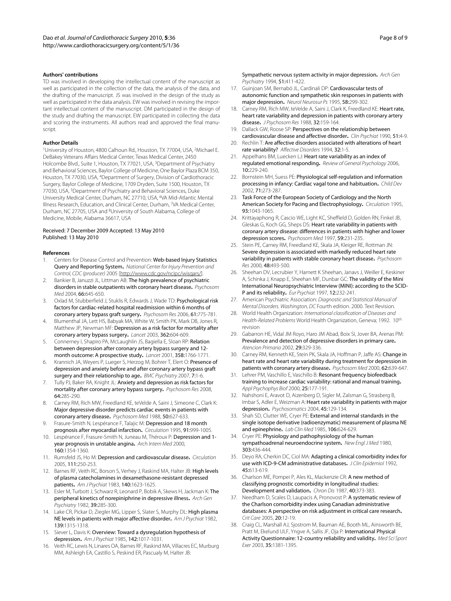#### **Authors' contributions**

TD was involved in developing the intellectual content of the manuscript as well as participated in the collection of the data, the analysis of the data, and the drafting of the manuscript. JS was involved in the design of the study as well as participated in the data analysis. EW was involved in revising the important intellectual content of the manuscript. DM participated in the design of the study and drafting the manuscript. EW participated in collecting the data and scoring the instruments. All authors read and approved the final manuscript.

#### **Author Details**

1University of Houston, 4800 Calhoun Rd., Houston, TX 77004, USA, 2Michael E. DeBakey Veterans Affairs Medical Center, Texas Medical Center, 2450 Holcombe Blvd., Suite 1, Houston, TX 77021, USA, 3Department of Psychiatry and Behavioral Sciences, Baylor College of Medicine, One Baylor Plaza BCM 350, Houston, TX 77030, USA, 4Department of Surgery, Division of Cardiothoracic Surgery, Baylor College of Medicine, 1709 Dryden, Suite 1500, Houston, TX 77030, USA, 5Department of Psychiatry and Behavioral Sciences, Duke University Medical Center, Durham, NC 27710, USA, 6VA Mid-Atlantic Mental Illness Research, Education, and Clinical Center, Durham, 7VA Medical Center, Durham, NC 27705, USA and 8University of South Alabama, College of Medicine, Mobile, Alabama 36617, USA

#### Received: 7 December 2009 Accepted: 13 May 2010 Published: 13 May 2010

#### **References**

- <span id="page-7-0"></span>Centers for Disease Control and Prevention: Web-based Injury Statistics Query and Reporting System**.** National Center for Injury Prevention and Control, CDC (producer) 2005 [[http://www.cdc.gov/ncipc/wisqars/\]](http://www.cdc.gov/ncipc/wisqars/).
- <span id="page-7-1"></span>Bankier B, Januzzi JL, Littman AB: The high prevalence of psychiatric disorders in stable outpatients with coronary heart disease**[.](http://www.ncbi.nlm.nih.gov/entrez/query.fcgi?cmd=Retrieve&db=PubMed&dopt=Abstract&list_uids=15385686)** Psychosom Med 2004, 66:645-650.
- <span id="page-7-2"></span>Oxlad M, Stubberfield J, Stuklis R, Edwards J, Wade TD: Psychological risk factors for cardiac-related hospital readmission within 6 months of coronary artery bypass graft surgery**.** Psychosom Res 2006, 61:775-781.
- <span id="page-7-3"></span>4. Blumenthal JA, Lett HS, Babyak MA, White W, Smith PK, Mark DB, Jones R, Matthew JP, Newman MF: Depression as a risk factor for mortality after coronary artery bypass surgery**.** Lancet 2003, 362:604-609.
- <span id="page-7-8"></span>5. Connerney I, Shapiro PA, McLaughlin JS, Bagiella E, Sloan RP: Relation between depression after coronary artery bypass surgery and 12 month outcome: A prospective study**[.](http://www.ncbi.nlm.nih.gov/entrez/query.fcgi?cmd=Retrieve&db=PubMed&dopt=Abstract&list_uids=11734233)** Lancet 2001, 358:1766-1771.
- 6. Krannich JA, Weyers P, Lueger S, Herzog M, Bohrer T, Elert O: Presence of depression and anxiety before and after coronary artery bypass graft surgery and their relationship to age**.** BMC Psychiatry 2007, 7:1-6.
- <span id="page-7-4"></span>7. Tully PJ, Baker RA, Knight JL: Anxiety and depression as risk factors for mortality after coronary artery bypass surgery**.** Psychosom Res 2008, 64:285-290.
- <span id="page-7-5"></span>8. Carney RM, Rich MW, Freedland KE, teVelde A, Saini J, Simeone C, Clark K: Major depressive disorder predicts cardiac events in patients with coronary artery disease**.** Psychosom Med 1988, 50:627-633.
- <span id="page-7-6"></span>9. Frasure-Smith N, Lespérance F, Talajic M: Depression and 18 month prognosis after myocardial infarction**.** Circulation 1995, 91:999-1005.
- <span id="page-7-7"></span>10. Lespérance F, Frasure-Smith N, Juneau M, Théroux P: Depression and 1year prognosis in unstable angina**.** Arch Intern Med 2000, 160:1354-1360.
- <span id="page-7-9"></span>11. Rumsfeld JS, Ho M: Depression and cardiovascular disease**.** Circulation 2005, 111:250-253.
- <span id="page-7-10"></span>12. Barnes RF, Veith RC, Borson S, Verhey J, Raskind MA, Halter JB: High levels of plasma catecholamines in dexamethasone-resistant depressed patients**.** Am J Psychiat 1983, 140:1623-1625.
- 13. Esler M, Turbott J, Schwarz R, Leonard P, Bobik A, Skews H, Jackman K: The peripheral kinetics of norepiniphrine in depressive illness**.** Arch Gen Psychiatry 1982, 39:285-300.
- <span id="page-7-11"></span>14. Lake CR, Pickar D, Ziegler MG, Lipper S, Slater S, Murphy DL: High plasma NE levels in patients with major affective disorder**.** Am J Psychiat 1982, 139:1315-1318.
- 15. Siever L, Davis K: Overview: Toward a dysregulation hypothesis of depression**.** Am J Psychiat 1985, 142:1017-1031.
- <span id="page-7-12"></span>16. Veith RC, Lewis N, Linares OA, Barnes RF, Raskind MA, Villacres EC, Murburg MM, Ashleigh EA, Castillo S, Peskind ER, Pascualy M, Halter JB:

Sympathetic nervous system activity in major depression**.** Arch Gen Psychiatry 1994, 51:411-422.

- <span id="page-7-13"></span>17. Guinjoan SM, Bernabó JL, Cardinali DP: Cardiovascular tests of autonomic function and sympathetic skin responses in patients with major depression. Neurol Neurosur Ps 1995, 58:299-302.
- <span id="page-7-14"></span>18. Carney RM, Rich MW, teVelde A, Saini J, Clark K, Freedland KE: Heart rate, heart rate variability and depression in patients with coronary artery disease**.** J Psychosom Res 1988, 32:159-164.
- <span id="page-7-15"></span>19. Dallack GW, Roose SP: Perspectives on the relationship between cardiovascular disease and affective disorder**.** Clin Psychiat 1990, 51:4-9.
- <span id="page-7-16"></span>20. Rechlin T: Are affective disorders associated with alterations of heart rate variability? Affective Disorders 1994, 32:1-5.
- <span id="page-7-17"></span>21. Appelhans BM, Luecken LJ: Heart rate variability as an index of regulated emotional responding**.** Review of General Psychology 2006, 10:229-240.
- <span id="page-7-18"></span>22. Bornstein MH, Suess PE: Physiological self-regulation and information processing in infancy: Cardiac vagal tone and habituation**.** Child Dev 2002, 71:273-287.
- <span id="page-7-19"></span>23. Task Force of the European Society of Cardiology and the North American Society for Pacing and Electrophysiology**.** Circulation 1995, 93:1043-1065.
- <span id="page-7-20"></span>24. Krittayaphong R, Cascio WE, Light KC, Sheffield D, Golden RN, Finkel JB, Gleskas G, Koch GG, Sheps DS: Heart rate variability in patients with coronary artery disease: differences in patients with higher and lower depression scores**.** Psychosom Med 1997, 59:231-235.
- <span id="page-7-21"></span>25. Stein PE, Carney RM, Freedland KE, Skala JA, Kleiger RE, Rottman JN: Severe depression is associated with markedly reduced heart rate variability in patients with stable coronary heart disease**.** Psychosom Res 2000, 48:493-500.
- <span id="page-7-22"></span>26. Sheehan DV, Lecrubier Y, Harnett K Sheehan, Janavs J, Weiller E, Keskiner A, Schinka J, Knapp E, Sheehan MF, Dunbar GC: The validity of the Mini International Neuropsychiatric Interview (MINI): according to the SCID-P and its reliability**.** Eur Psychiat 1997, 12:232-241.
- <span id="page-7-23"></span>27. American Psychiatric Association: Diagnostic and Statistical Manual of Mental Disorders. Washington, DC Fourth edition. 2000. Text Revision.
- <span id="page-7-24"></span>28. World Health Organization: International classification of Diseases and Health-Related Problems World Health Organization, Geneva; 1992. 10th revision
- <span id="page-7-25"></span>29. Gabarron HE, Vidal JM Royo, Haro JM Abad, Boix SI, Jover BA, Arenas PM: Prevalence and detection of depressive disorders in primary care**[.](http://www.ncbi.nlm.nih.gov/entrez/query.fcgi?cmd=Retrieve&db=PubMed&dopt=Abstract&list_uids=11996711)** Atencion Primaria 2002, 29:329-336.
- <span id="page-7-26"></span>30. Carney RM, Kenneth KE, Stein PK, Skala JA, Hoffman P, Jaffe AS: Change in heart rate and heart rate variability during treatment for depression in patients with coronary artery disease**.** Psychosom Med 2000, 62:639-647.
- <span id="page-7-27"></span>31. Lehrer PM, Vaschillo E, Vaschillo B: Resonant frequency biofeedback training to increase cardiac variability: rational and manual training**.** Appl Psychophys Biof 2000, 25:177-191
- <span id="page-7-28"></span>32. Nahshoni E, Aravot D, Aizenberg D, Sigler M, Zalsman G, Strasberg B, Imbar S, Adler E, Weizman A: Heart rate variability in patients with major depression**.** Psychosomatics 2004, 45:129-134.
- <span id="page-7-29"></span>33. Shah SD, Clutter WE, Cryer PE: External and internal standards in the single isotope derivative (radioenzymatic) measurement of plasma NE and epinephrine**.** Lab Clin Med 1985, 106:624-629.
- <span id="page-7-30"></span>34. Cryer PE: Physiology and pathophysiology of the human sympathoadrenal neuroendocrine system**.** New Engl J Med 1980, 303:436-444.
- <span id="page-7-31"></span>35. Deyo RA, Cherkin DC, Ciol MA: Adapting a clinical comorbidity index for use with ICD-9-CM administrative databases**.** J Clin Epidemiol 1992, 45:613-619.
- <span id="page-7-32"></span>36. Charlson ME, Pompei P, Ales KL, Mackenzie CR: A new method of classifying prognostic comorbidity in longitudinal studies: Development and validation**.** Chron Dis 1987, 40:373-383.
- <span id="page-7-33"></span>37. Needham D, Scales D, Laupacis A, Pronovost P: A systematic review of the Charlson comorbidity index using Canadian administrative databases: A perspective on risk adjustment in critical care research**.** Crit Care 2005, 20:12-19.
- <span id="page-7-34"></span>38. Craig CL, Marshall AJ, Sjostrom M, Bauman AE, Booth ML, Ainsworth BE, Pratt M, Ekelund ULF, Yngve A, Sallis JF, Oja P: International Physical Activity Questionnaire: 12-country reliability and validity**.** Med Sci Sport Exer 2003, 35:1381-1395.